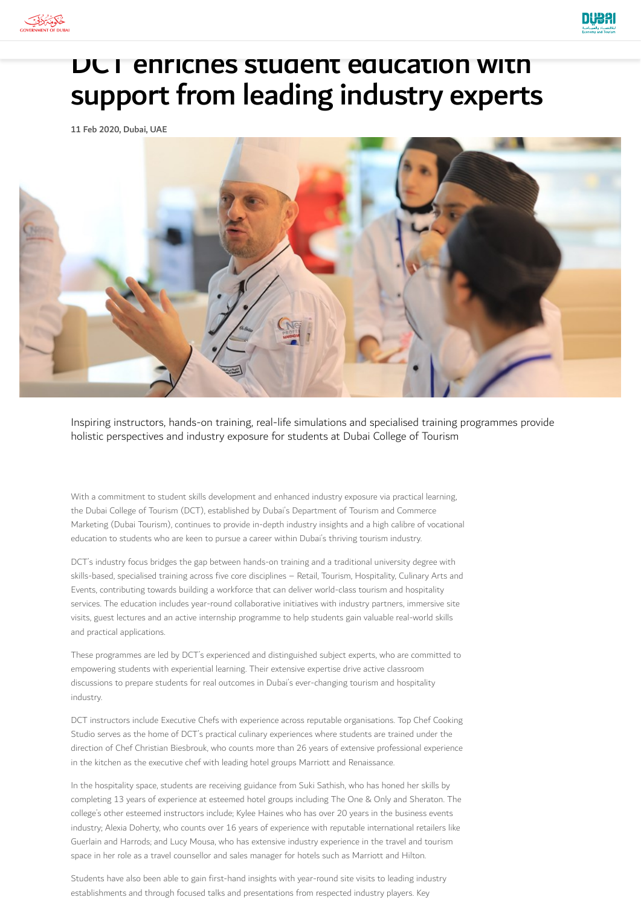



## DCT enriches student education with support from leading industry experts

11 Feb 2020, Dubai, UAE



Inspiring instructors, hands-on training, real-life simulations and specialised training programmes provide holistic perspectives and industry exposure for students at Dubai College of Tourism

With a commitment to student skills development and enhanced industry exposure via practical learning, the Dubai College of Tourism (DCT), established by Dubai's Department of Tourism and Commerce Marketing (Dubai Tourism), continues to provide in-depth industry insights and a high calibre of vocational education to students who are keen to pursue a career within Dubai's thriving tourism industry.

DCT's industry focus bridges the gap between hands-on training and a traditional university degree with skills-based, specialised training across five core disciplines – Retail, Tourism, Hospitality, Culinary Arts and Events, contributing towards building a workforce that can deliver world-class tourism and hospitality services. The education includes year-round collaborative initiatives with industry partners, immersive site visits, guest lectures and an active internship programme to help students gain valuable real-world skills and practical applications.

These programmes are led by DCT's experienced and distinguished subject experts, who are committed to empowering students with experiential learning. Their extensive expertise drive active classroom discussions to prepare students for real outcomes in Dubai's ever-changing tourism and hospitality industry.

DCT instructors include Executive Chefs with experience across reputable organisations. Top Chef Cooking Studio serves as the home of DCT's practical culinary experiences where students are trained under the direction of Chef Christian Biesbrouk, who counts more than 26 years of extensive professional experience in the kitchen as the executive chef with leading hotel groups Marriott and Renaissance.

In the hospitality space, students are receiving guidance from Suki Sathish, who has honed her skills by completing 13 years of experience at esteemed hotel groups including The One & Only and Sheraton. The college's other esteemed instructors include; Kylee Haines who has over 20 years in the business events industry; Alexia Doherty, who counts over 16 years of experience with reputable international retailers like Guerlain and Harrods; and Lucy Mousa, who has extensive industry experience in the travel and tourism space in her role as a travel counsellor and sales manager for hotels such as Marriott and Hilton.

Students have also been able to gain first-hand insights with year-round site visits to leading industry establishments and through focused talks and presentations from respected industry players. Key